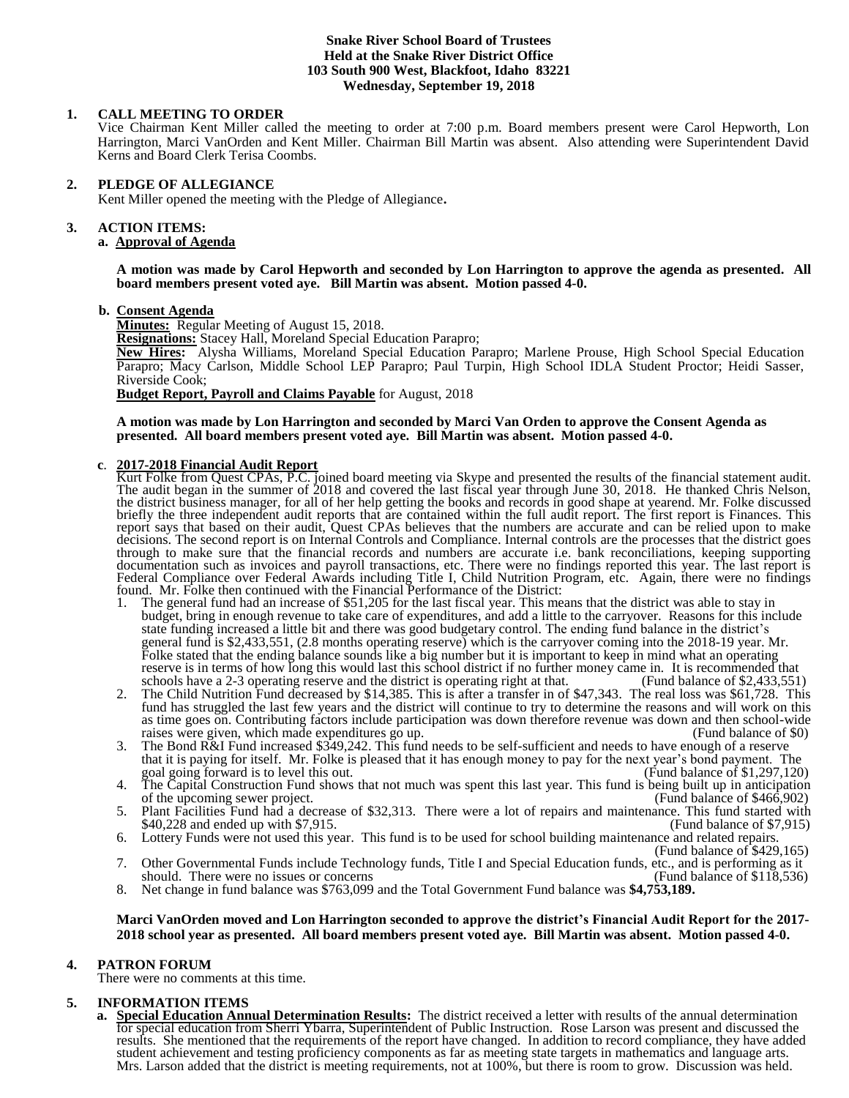#### **Snake River School Board of Trustees Held at the Snake River District Office 103 South 900 West, Blackfoot, Idaho 83221 Wednesday, September 19, 2018**

# **1. CALL MEETING TO ORDER**

Vice Chairman Kent Miller called the meeting to order at 7:00 p.m. Board members present were Carol Hepworth, Lon Harrington, Marci VanOrden and Kent Miller. Chairman Bill Martin was absent. Also attending were Superintendent David Kerns and Board Clerk Terisa Coombs.

# **2. PLEDGE OF ALLEGIANCE**

Kent Miller opened the meeting with the Pledge of Allegiance**.** 

# **3. ACTION ITEMS:**

# **a. Approval of Agenda**

**A motion was made by Carol Hepworth and seconded by Lon Harrington to approve the agenda as presented. All board members present voted aye. Bill Martin was absent. Motion passed 4-0.**

#### **b. Consent Agenda**

**Minutes:** Regular Meeting of August 15, 2018.

**Resignations:** Stacey Hall, Moreland Special Education Parapro;

**New Hires:** Alysha Williams, Moreland Special Education Parapro; Marlene Prouse, High School Special Education Parapro; Macy Carlson, Middle School LEP Parapro; Paul Turpin, High School IDLA Student Proctor; Heidi Sasser, Riverside Cook;

**Budget Report, Payroll and Claims Payable** for August, 2018

**A motion was made by Lon Harrington and seconded by Marci Van Orden to approve the Consent Agenda as presented. All board members present voted aye. Bill Martin was absent. Motion passed 4-0.** 

# **c**. **2017-2018 Financial Audit Report**

Kurt Folke from Quest CPAs, P.C. joined board meeting via Skype and presented the results of the financial statement audit. The audit began in the summer of 2018 and covered the last fiscal year through June 30, 2018. He thanked Chris Nelson, the district business manager, for all of her help getting the books and records in good shape at yearend. Mr. Folke discussed briefly the three independent audit reports that are contained within the full audit report. The first report is Finances. This report says that based on their audit, Quest CPAs believes that the numbers are accurate and can be relied upon to make decisions. The second report is on Internal Controls and Compliance. Internal controls are the processes that the district goes through to make sure that the financial records and numbers are accurate i.e. bank reconciliations, keeping supporting documentation such as invoices and payroll transactions, etc. There were no findings reported this year. The last report is Federal Compliance over Federal Awards including Title I, Child Nutrition Program, etc. Again, there were no findings found. Mr. Folke then continued with the Financial Performance of the District:

- 1. The general fund had an increase of \$51,205 for the last fiscal year. This means that the district was able to stay in budget, bring in enough revenue to take care of expenditures, and add a little to the carryover. Reasons for this include state funding increased a little bit and there was good budgetary control. The ending fund balance in the district's general fund is \$2,433,551, (2.8 months operating reserve) which is the carryover coming into the 2018-19 year. Mr. Folke stated that the ending balance sounds like a big number but it is important to keep in mind what an operating reserve is in terms of how long this would last this school district if no further money came in. It is recommended that schools have a 2-3 operating reserve and the district is operating right at that. (Fund balance of \$2 schools have a 2-3 operating reserve and the district is operating right at that.
- 2. The Child Nutrition Fund decreased by \$14,385. This is after a transfer in of \$47,343. The real loss was \$61,728. This fund has struggled the last few years and the district will continue to try to determine the reasons and will work on this as time goes on. Contributing factors include participation was down therefore revenue was down and then school-wide raises were given, which made expenditures go up. (Fund balance of \$0)
- 3. The Bond R&I Fund increased \$349,242. This fund needs to be self-sufficient and needs to have enough of a reserve that it is paying for itself. Mr. Folke is pleased that it has enough money to pay for the next year's bond payment. The goal going forward is to level this out. (Fund balance of \$1,297,120)
- 4. The Capital Construction Fund shows that not much was spent this last year. This fund is being built up in anticipation of the upcoming sewer project. of the upcoming sewer project.
- 5. Plant Facilities Fund had a decrease of \$32,313. There were a lot of repairs and maintenance. This fund started with \$40,228 and ended up with \$7,915. \$40,228 and ended up with \$7,915.
- 6. Lottery Funds were not used this year. This fund is to be used for school building maintenance and related repairs. (Fund balance of \$429,165)
- 7. Other Governmental Funds include Technology funds, Title I and Special Education funds, etc., and is performing as it should. There were no issues or concerns should. There were no issues or concerns
- 8. Net change in fund balance was \$763,099 and the Total Government Fund balance was **\$4,753,189.**

#### **Marci VanOrden moved and Lon Harrington seconded to approve the district's Financial Audit Report for the 2017- 2018 school year as presented. All board members present voted aye. Bill Martin was absent. Motion passed 4-0.**

# **4. PATRON FORUM**

There were no comments at this time.

# **5. INFORMATION ITEMS**

**a. Special Education Annual Determination Results:** The district received a letter with results of the annual determination for special education from Sherri Ybarra, Superintendent of Public Instruction. Rose Larson was present and discussed the results. She mentioned that the requirements of the report have changed. In addition to record compliance, they have added student achievement and testing proficiency components as far as meeting state targets in mathematics and language arts. Mrs. Larson added that the district is meeting requirements, not at 100%, but there is room to grow. Discussion was held.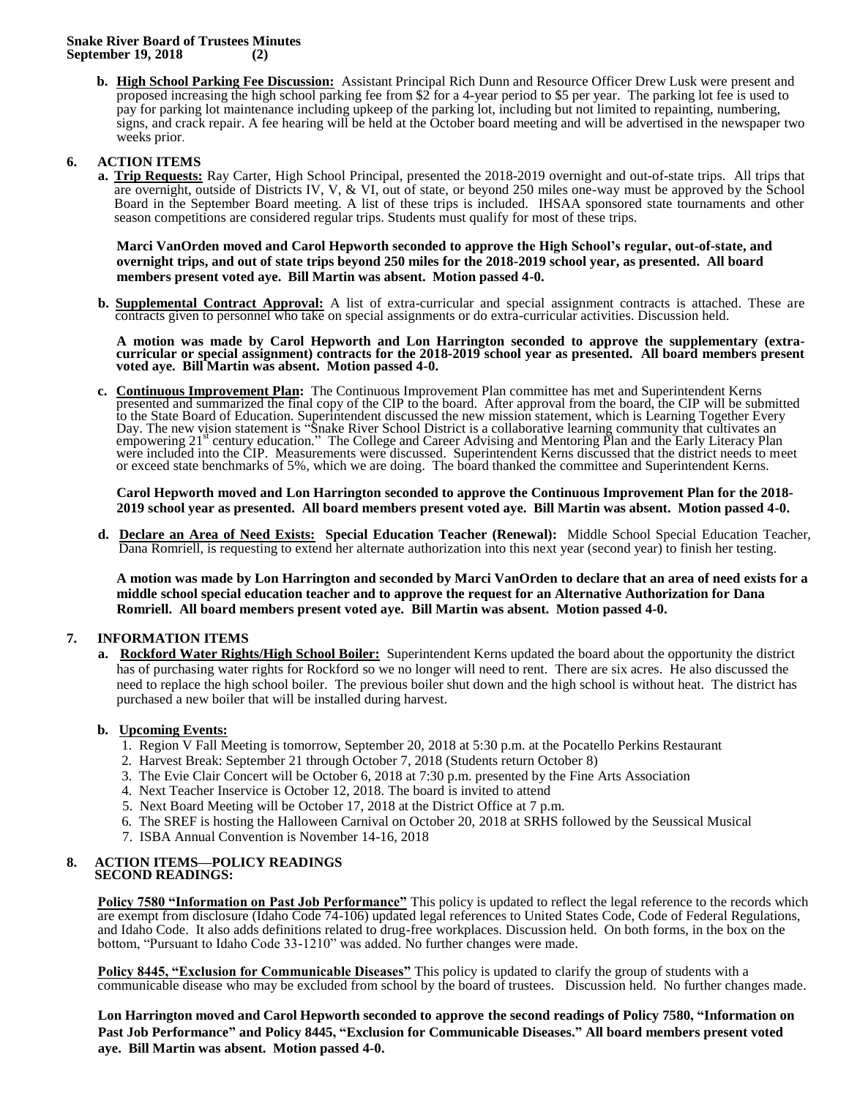**b. High School Parking Fee Discussion:** Assistant Principal Rich Dunn and Resource Officer Drew Lusk were present and proposed increasing the high school parking fee from \$2 for a 4-year period to \$5 per year. The parking lot fee is used to pay for parking lot maintenance including upkeep of the parking lot, including but not limited to repainting, numbering, signs, and crack repair. A fee hearing will be held at the October board meeting and will be advertised in the newspaper two weeks prior.

# **6. ACTION ITEMS**

**a. Trip Requests:** Ray Carter, High School Principal, presented the 2018-2019 overnight and out-of-state trips. All trips that are overnight, outside of Districts IV, V, & VI, out of state, or beyond 250 miles one-way must be approved by the School Board in the September Board meeting. A list of these trips is included. IHSAA sponsored state tournaments and other season competitions are considered regular trips. Students must qualify for most of these trips.

**Marci VanOrden moved and Carol Hepworth seconded to approve the High School's regular, out-of-state, and overnight trips, and out of state trips beyond 250 miles for the 2018-2019 school year, as presented. All board members present voted aye. Bill Martin was absent. Motion passed 4-0.**

**b. Supplemental Contract Approval:** A list of extra-curricular and special assignment contracts is attached. These are contracts given to personnel who take on special assignments or do extra-curricular activities. Discussion held.

**A motion was made by Carol Hepworth and Lon Harrington seconded to approve the supplementary (extracurricular or special assignment) contracts for the 2018-2019 school year as presented. All board members present voted aye. Bill Martin was absent. Motion passed 4-0.**

**c. Continuous Improvement Plan:** The Continuous Improvement Plan committee has met and Superintendent Kerns presented and summarized the final copy of the CIP to the board. After approval from the board, the CIP will be submitted to the State Board of Education. Superintendent discussed the new mission statement, which is Learning Together Every Day. The new vision statement is "Snake River School District is a collaborative learning community that cultivates an<br>empowering 21<sup>st</sup> century education." The College and Career Advising and Mentoring Plan and the Early were included into the CIP. Measurements were discussed. Superintendent Kerns discussed that the district needs to meet or exceed state benchmarks of 5%, which we are doing. The board thanked the committee and Superintendent Kerns.

**Carol Hepworth moved and Lon Harrington seconded to approve the Continuous Improvement Plan for the 2018- 2019 school year as presented. All board members present voted aye. Bill Martin was absent. Motion passed 4-0.**

**d. Declare an Area of Need Exists: Special Education Teacher (Renewal):** Middle School Special Education Teacher, Dana Romriell, is requesting to extend her alternate authorization into this next year (second year) to finish her testing.

**A motion was made by Lon Harrington and seconded by Marci VanOrden to declare that an area of need exists for a middle school special education teacher and to approve the request for an Alternative Authorization for Dana Romriell. All board members present voted aye. Bill Martin was absent. Motion passed 4-0.** 

# **7. INFORMATION ITEMS**

**a. Rockford Water Rights/High School Boiler:** Superintendent Kerns updated the board about the opportunity the district has of purchasing water rights for Rockford so we no longer will need to rent. There are six acres. He also discussed the need to replace the high school boiler. The previous boiler shut down and the high school is without heat. The district has purchased a new boiler that will be installed during harvest.

# **b. Upcoming Events:**

- 1. Region V Fall Meeting is tomorrow, September 20, 2018 at 5:30 p.m. at the Pocatello Perkins Restaurant
- 2. Harvest Break: September 21 through October 7, 2018 (Students return October 8)
- 3. The Evie Clair Concert will be October 6, 2018 at 7:30 p.m. presented by the Fine Arts Association
- 4. Next Teacher Inservice is October 12, 2018. The board is invited to attend
- 5. Next Board Meeting will be October 17, 2018 at the District Office at 7 p.m.
- 6. The SREF is hosting the Halloween Carnival on October 20, 2018 at SRHS followed by the Seussical Musical
- 7. ISBA Annual Convention is November 14-16, 2018

#### **8. ACTION ITEMS—POLICY READINGS SECOND READINGS:**

**Policy 7580 "Information on Past Job Performance"** This policy is updated to reflect the legal reference to the records which are exempt from disclosure (Idaho Code 74-106) updated legal references to United States Code, Code of Federal Regulations, and Idaho Code. It also adds definitions related to drug-free workplaces. Discussion held. On both forms, in the box on the bottom, "Pursuant to Idaho Code 33-1210" was added. No further changes were made.

**Policy 8445, "Exclusion for Communicable Diseases"** This policy is updated to clarify the group of students with a communicable disease who may be excluded from school by the board of trustees. Discussion held. No further changes made.

**Lon Harrington moved and Carol Hepworth seconded to approve the second readings of Policy 7580, "Information on Past Job Performance" and Policy 8445, "Exclusion for Communicable Diseases." All board members present voted aye. Bill Martin was absent. Motion passed 4-0.**